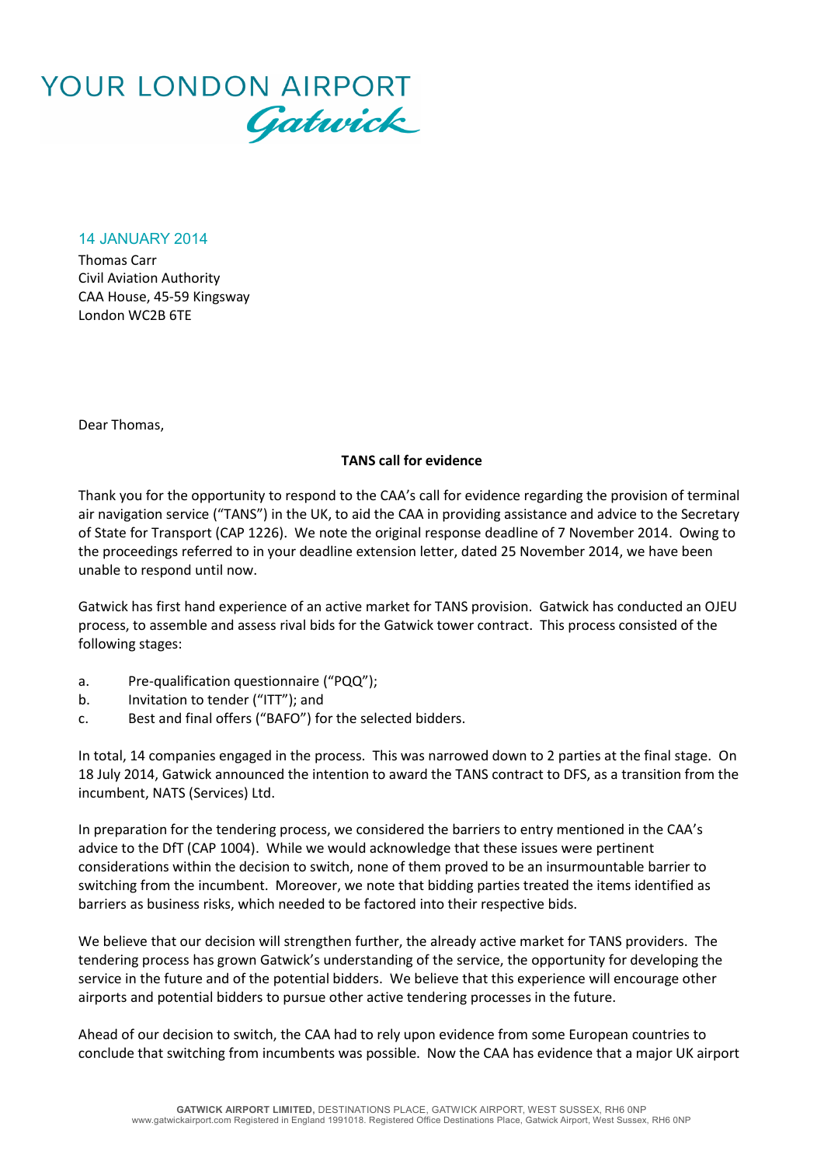

14 JANUARY 2014

Thomas Carr Civil Aviation Authority CAA House, 45-59 Kingsway London WC2B 6TE

Dear Thomas,

## **TANS call for evidence**

Thank you for the opportunity to respond to the CAA's call for evidence regarding the provision of terminal air navigation service ("TANS") in the UK, to aid the CAA in providing assistance and advice to the Secretary of State for Transport (CAP 1226). We note the original response deadline of 7 November 2014. Owing to the proceedings referred to in your deadline extension letter, dated 25 November 2014, we have been unable to respond until now.

Gatwick has first hand experience of an active market for TANS provision. Gatwick has conducted an OJEU process, to assemble and assess rival bids for the Gatwick tower contract. This process consisted of the following stages:

- a. Pre-qualification questionnaire ("PQQ");
- b. Invitation to tender ("ITT"); and
- c. Best and final offers ("BAFO") for the selected bidders.

In total, 14 companies engaged in the process. This was narrowed down to 2 parties at the final stage. On 18 July 2014, Gatwick announced the intention to award the TANS contract to DFS, as a transition from the incumbent, NATS (Services) Ltd.

In preparation for the tendering process, we considered the barriers to entry mentioned in the CAA's advice to the DfT (CAP 1004). While we would acknowledge that these issues were pertinent considerations within the decision to switch, none of them proved to be an insurmountable barrier to switching from the incumbent. Moreover, we note that bidding parties treated the items identified as barriers as business risks, which needed to be factored into their respective bids.

We believe that our decision will strengthen further, the already active market for TANS providers. The tendering process has grown Gatwick's understanding of the service, the opportunity for developing the service in the future and of the potential bidders. We believe that this experience will encourage other airports and potential bidders to pursue other active tendering processes in the future.

Ahead of our decision to switch, the CAA had to rely upon evidence from some European countries to conclude that switching from incumbents was possible. Now the CAA has evidence that a major UK airport